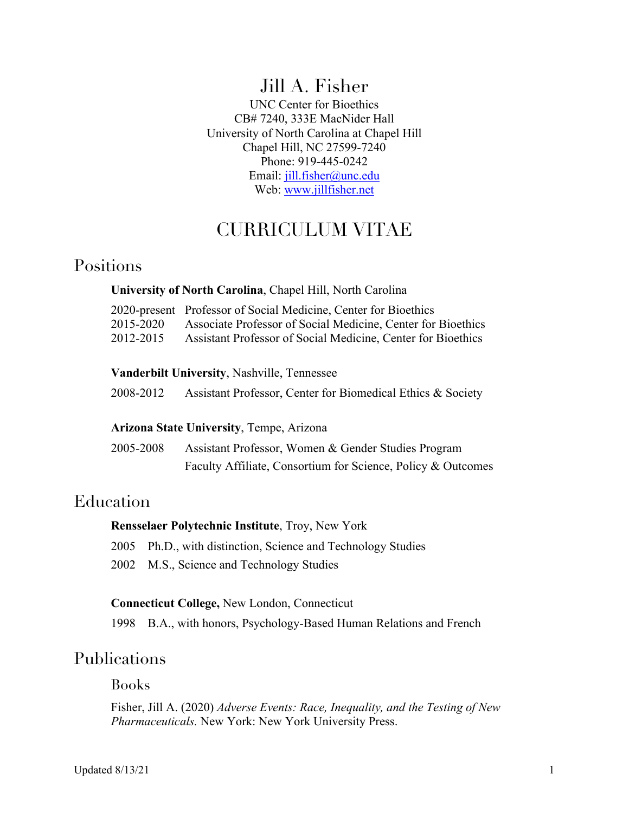# Jill A. Fisher

UNC Center for Bioethics CB# 7240, 333E MacNider Hall University of North Carolina at Chapel Hill Chapel Hill, NC 27599-7240 Phone: 919-445-0242 Email: jill.fisher@unc.edu Web: www.jillfisher.net

# CURRICULUM VITAE

## Positions

#### **University of North Carolina**, Chapel Hill, North Carolina

|           | 2020-present Professor of Social Medicine, Center for Bioethics |
|-----------|-----------------------------------------------------------------|
| 2015-2020 | Associate Professor of Social Medicine, Center for Bioethics    |
| 2012-2015 | Assistant Professor of Social Medicine, Center for Bioethics    |

#### **Vanderbilt University**, Nashville, Tennessee

| 2008-2012 | Assistant Professor, Center for Biomedical Ethics & Society |  |  |
|-----------|-------------------------------------------------------------|--|--|
|           |                                                             |  |  |

#### **Arizona State University**, Tempe, Arizona

| 2005-2008 | Assistant Professor, Women & Gender Studies Program          |
|-----------|--------------------------------------------------------------|
|           | Faculty Affiliate, Consortium for Science, Policy & Outcomes |

## Education

#### **Rensselaer Polytechnic Institute**, Troy, New York

2005 Ph.D., with distinction, Science and Technology Studies

2002 M.S., Science and Technology Studies

#### **Connecticut College,** New London, Connecticut

1998 B.A., with honors, Psychology-Based Human Relations and French

## Publications

Books

Fisher, Jill A. (2020) *Adverse Events: Race, Inequality, and the Testing of New Pharmaceuticals.* New York: New York University Press.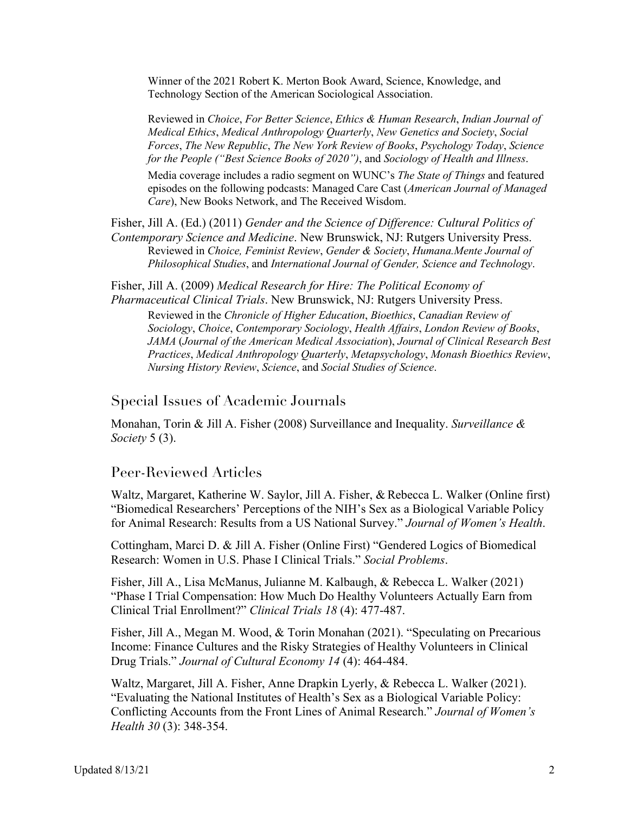Winner of the 2021 Robert K. Merton Book Award, Science, Knowledge, and Technology Section of the American Sociological Association.

Reviewed in *Choice*, *For Better Science*, *Ethics & Human Research*, *Indian Journal of Medical Ethics*, *Medical Anthropology Quarterly*, *New Genetics and Society*, *Social Forces*, *The New Republic*, *The New York Review of Books*, *Psychology Today*, *Science for the People ("Best Science Books of 2020")*, and *Sociology of Health and Illness*.

Media coverage includes a radio segment on WUNC's *The State of Things* and featured episodes on the following podcasts: Managed Care Cast (*American Journal of Managed Care*), New Books Network, and The Received Wisdom.

Fisher, Jill A. (Ed.) (2011) *Gender and the Science of Difference: Cultural Politics of Contemporary Science and Medicine*. New Brunswick, NJ: Rutgers University Press. Reviewed in *Choice, Feminist Review*, *Gender & Society*, *Humana.Mente Journal of Philosophical Studies*, and *International Journal of Gender, Science and Technology*.

Fisher, Jill A. (2009) *Medical Research for Hire: The Political Economy of Pharmaceutical Clinical Trials*. New Brunswick, NJ: Rutgers University Press.

Reviewed in the *Chronicle of Higher Education*, *Bioethics*, *Canadian Review of Sociology*, *Choice*, *Contemporary Sociology*, *Health Affairs*, *London Review of Books*, *JAMA* (*Journal of the American Medical Association*), *Journal of Clinical Research Best Practices*, *Medical Anthropology Quarterly*, *Metapsychology*, *Monash Bioethics Review*, *Nursing History Review*, *Science*, and *Social Studies of Science*.

#### Special Issues of Academic Journals

Monahan, Torin & Jill A. Fisher (2008) Surveillance and Inequality. *Surveillance & Society* 5 (3).

#### Peer-Reviewed Articles

Waltz, Margaret, Katherine W. Saylor, Jill A. Fisher, & Rebecca L. Walker (Online first) "Biomedical Researchers' Perceptions of the NIH's Sex as a Biological Variable Policy for Animal Research: Results from a US National Survey." *Journal of Women's Health*.

Cottingham, Marci D. & Jill A. Fisher (Online First) "Gendered Logics of Biomedical Research: Women in U.S. Phase I Clinical Trials." *Social Problems*.

Fisher, Jill A., Lisa McManus, Julianne M. Kalbaugh, & Rebecca L. Walker (2021) "Phase I Trial Compensation: How Much Do Healthy Volunteers Actually Earn from Clinical Trial Enrollment?" *Clinical Trials 18* (4): 477-487.

Fisher, Jill A., Megan M. Wood, & Torin Monahan (2021). "Speculating on Precarious Income: Finance Cultures and the Risky Strategies of Healthy Volunteers in Clinical Drug Trials." *Journal of Cultural Economy 14* (4): 464-484.

Waltz, Margaret, Jill A. Fisher, Anne Drapkin Lyerly, & Rebecca L. Walker (2021). "Evaluating the National Institutes of Health's Sex as a Biological Variable Policy: Conflicting Accounts from the Front Lines of Animal Research." *Journal of Women's Health 30* (3): 348-354.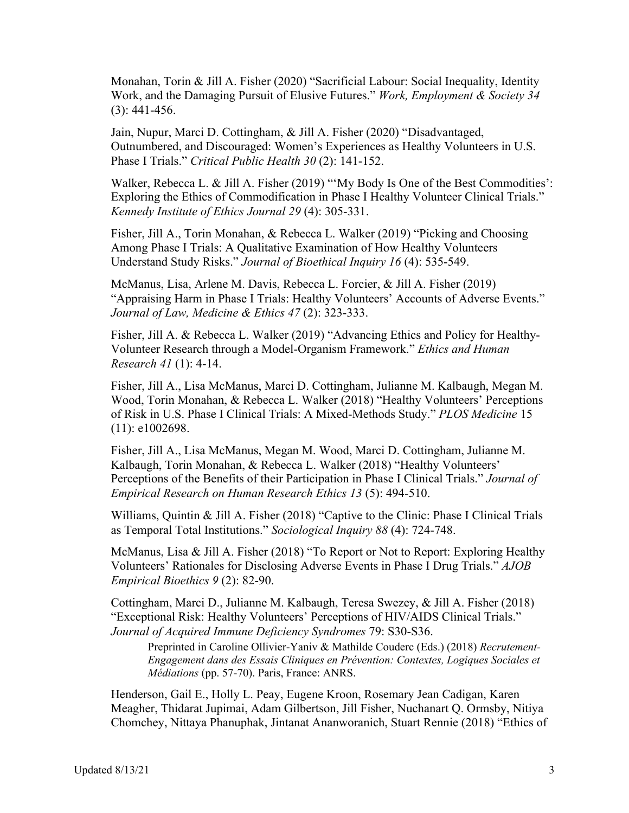Monahan, Torin & Jill A. Fisher (2020) "Sacrificial Labour: Social Inequality, Identity Work, and the Damaging Pursuit of Elusive Futures." *Work, Employment & Society 34*  (3): 441-456.

Jain, Nupur, Marci D. Cottingham, & Jill A. Fisher (2020) "Disadvantaged, Outnumbered, and Discouraged: Women's Experiences as Healthy Volunteers in U.S. Phase I Trials." *Critical Public Health 30* (2): 141-152.

Walker, Rebecca L. & Jill A. Fisher (2019) "'My Body Is One of the Best Commodities': Exploring the Ethics of Commodification in Phase I Healthy Volunteer Clinical Trials." *Kennedy Institute of Ethics Journal 29* (4): 305-331.

Fisher, Jill A., Torin Monahan, & Rebecca L. Walker (2019) "Picking and Choosing Among Phase I Trials: A Qualitative Examination of How Healthy Volunteers Understand Study Risks." *Journal of Bioethical Inquiry 16* (4): 535-549.

McManus, Lisa, Arlene M. Davis, Rebecca L. Forcier, & Jill A. Fisher (2019) "Appraising Harm in Phase I Trials: Healthy Volunteers' Accounts of Adverse Events." *Journal of Law, Medicine & Ethics 47* (2): 323-333.

Fisher, Jill A. & Rebecca L. Walker (2019) "Advancing Ethics and Policy for Healthy-Volunteer Research through a Model-Organism Framework." *Ethics and Human Research 41* (1): 4-14.

Fisher, Jill A., Lisa McManus, Marci D. Cottingham, Julianne M. Kalbaugh, Megan M. Wood, Torin Monahan, & Rebecca L. Walker (2018) "Healthy Volunteers' Perceptions of Risk in U.S. Phase I Clinical Trials: A Mixed-Methods Study." *PLOS Medicine* 15 (11): e1002698.

Fisher, Jill A., Lisa McManus, Megan M. Wood, Marci D. Cottingham, Julianne M. Kalbaugh, Torin Monahan, & Rebecca L. Walker (2018) "Healthy Volunteers' Perceptions of the Benefits of their Participation in Phase I Clinical Trials." *Journal of Empirical Research on Human Research Ethics 13* (5): 494-510.

Williams, Quintin & Jill A. Fisher (2018) "Captive to the Clinic: Phase I Clinical Trials as Temporal Total Institutions." *Sociological Inquiry 88* (4): 724-748.

McManus, Lisa & Jill A. Fisher (2018) "To Report or Not to Report: Exploring Healthy Volunteers' Rationales for Disclosing Adverse Events in Phase I Drug Trials." *AJOB Empirical Bioethics 9* (2): 82-90.

Cottingham, Marci D., Julianne M. Kalbaugh, Teresa Swezey, & Jill A. Fisher (2018) "Exceptional Risk: Healthy Volunteers' Perceptions of HIV/AIDS Clinical Trials." *Journal of Acquired Immune Deficiency Syndromes* 79: S30-S36.

Preprinted in Caroline Ollivier-Yaniv & Mathilde Couderc (Eds.) (2018) *Recrutement-Engagement dans des Essais Cliniques en Prévention: Contextes, Logiques Sociales et Médiations* (pp. 57-70). Paris, France: ANRS.

Henderson, Gail E., Holly L. Peay, Eugene Kroon, Rosemary Jean Cadigan, Karen Meagher, Thidarat Jupimai, Adam Gilbertson, Jill Fisher, Nuchanart Q. Ormsby, Nitiya Chomchey, Nittaya Phanuphak, Jintanat Ananworanich, Stuart Rennie (2018) "Ethics of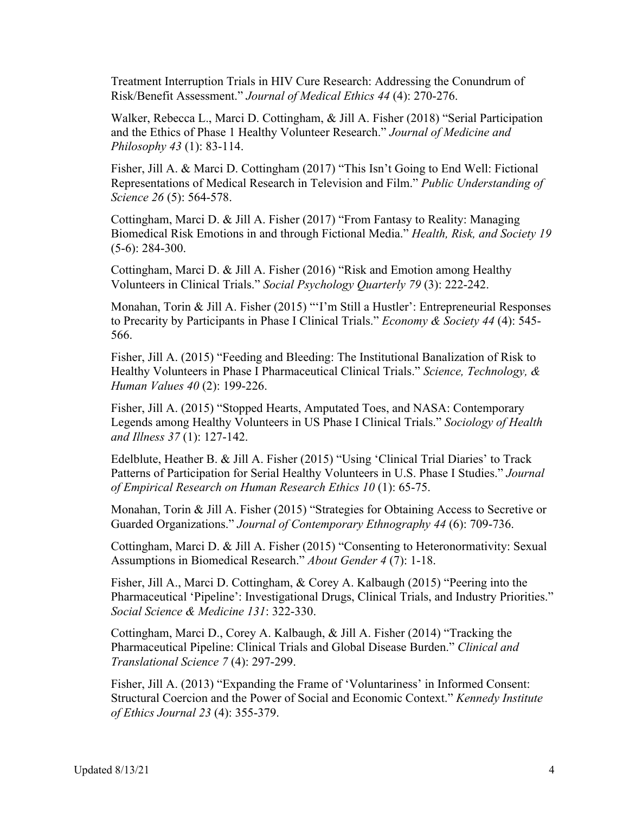Treatment Interruption Trials in HIV Cure Research: Addressing the Conundrum of Risk/Benefit Assessment." *Journal of Medical Ethics 44* (4): 270-276.

Walker, Rebecca L., Marci D. Cottingham, & Jill A. Fisher (2018) "Serial Participation and the Ethics of Phase 1 Healthy Volunteer Research." *Journal of Medicine and Philosophy 43* (1): 83-114.

Fisher, Jill A. & Marci D. Cottingham (2017) "This Isn't Going to End Well: Fictional Representations of Medical Research in Television and Film." *Public Understanding of Science 26* (5): 564-578.

Cottingham, Marci D. & Jill A. Fisher (2017) "From Fantasy to Reality: Managing Biomedical Risk Emotions in and through Fictional Media." *Health, Risk, and Society 19* (5-6): 284-300.

Cottingham, Marci D. & Jill A. Fisher (2016) "Risk and Emotion among Healthy Volunteers in Clinical Trials." *Social Psychology Quarterly 79* (3): 222-242.

Monahan, Torin & Jill A. Fisher (2015) "'I'm Still a Hustler': Entrepreneurial Responses to Precarity by Participants in Phase I Clinical Trials." *Economy & Society 44* (4): 545- 566.

Fisher, Jill A. (2015) "Feeding and Bleeding: The Institutional Banalization of Risk to Healthy Volunteers in Phase I Pharmaceutical Clinical Trials." *Science, Technology, & Human Values 40* (2): 199-226.

Fisher, Jill A. (2015) "Stopped Hearts, Amputated Toes, and NASA: Contemporary Legends among Healthy Volunteers in US Phase I Clinical Trials." *Sociology of Health and Illness 37* (1): 127-142.

Edelblute, Heather B. & Jill A. Fisher (2015) "Using 'Clinical Trial Diaries' to Track Patterns of Participation for Serial Healthy Volunteers in U.S. Phase I Studies." *Journal of Empirical Research on Human Research Ethics 10* (1): 65-75.

Monahan, Torin & Jill A. Fisher (2015) "Strategies for Obtaining Access to Secretive or Guarded Organizations." *Journal of Contemporary Ethnography 44* (6): 709-736.

Cottingham, Marci D. & Jill A. Fisher (2015) "Consenting to Heteronormativity: Sexual Assumptions in Biomedical Research." *About Gender 4* (7): 1-18.

Fisher, Jill A., Marci D. Cottingham, & Corey A. Kalbaugh (2015) "Peering into the Pharmaceutical 'Pipeline': Investigational Drugs, Clinical Trials, and Industry Priorities." *Social Science & Medicine 131*: 322-330.

Cottingham, Marci D., Corey A. Kalbaugh, & Jill A. Fisher (2014) "Tracking the Pharmaceutical Pipeline: Clinical Trials and Global Disease Burden." *Clinical and Translational Science 7* (4): 297-299.

Fisher, Jill A. (2013) "Expanding the Frame of 'Voluntariness' in Informed Consent: Structural Coercion and the Power of Social and Economic Context." *Kennedy Institute of Ethics Journal 23* (4): 355-379.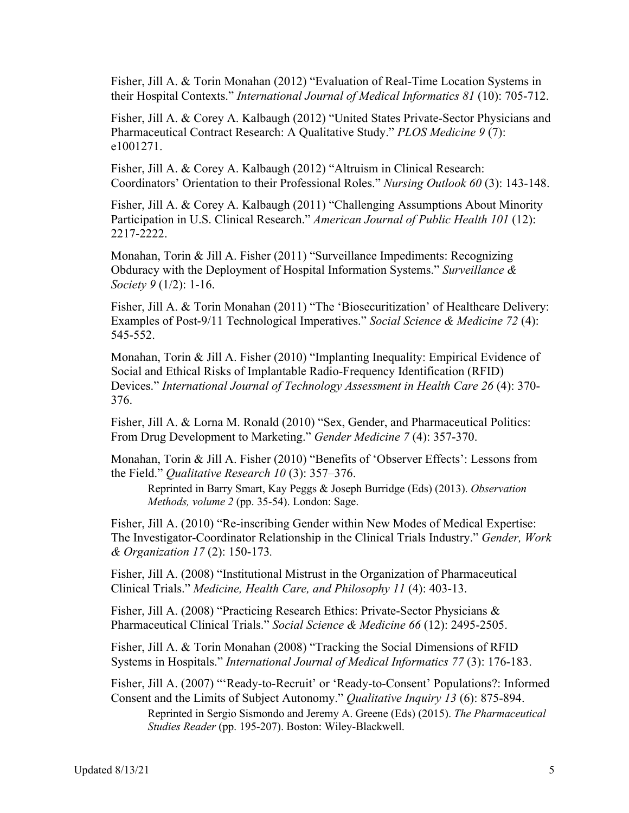Fisher, Jill A. & Torin Monahan (2012) "Evaluation of Real-Time Location Systems in their Hospital Contexts." *International Journal of Medical Informatics 81* (10): 705-712.

Fisher, Jill A. & Corey A. Kalbaugh (2012) "United States Private-Sector Physicians and Pharmaceutical Contract Research: A Qualitative Study." *PLOS Medicine 9* (7): e1001271.

Fisher, Jill A. & Corey A. Kalbaugh (2012) "Altruism in Clinical Research: Coordinators' Orientation to their Professional Roles." *Nursing Outlook 60* (3): 143-148.

Fisher, Jill A. & Corey A. Kalbaugh (2011) "Challenging Assumptions About Minority Participation in U.S. Clinical Research." *American Journal of Public Health 101* (12): 2217-2222.

Monahan, Torin & Jill A. Fisher (2011) "Surveillance Impediments: Recognizing Obduracy with the Deployment of Hospital Information Systems." *Surveillance & Society 9* (1/2): 1-16.

Fisher, Jill A. & Torin Monahan (2011) "The 'Biosecuritization' of Healthcare Delivery: Examples of Post-9/11 Technological Imperatives." *Social Science & Medicine 72* (4): 545-552.

Monahan, Torin & Jill A. Fisher (2010) "Implanting Inequality: Empirical Evidence of Social and Ethical Risks of Implantable Radio-Frequency Identification (RFID) Devices." *International Journal of Technology Assessment in Health Care 26* (4): 370- 376.

Fisher, Jill A. & Lorna M. Ronald (2010) "Sex, Gender, and Pharmaceutical Politics: From Drug Development to Marketing." *Gender Medicine 7* (4): 357-370.

Monahan, Torin & Jill A. Fisher (2010) "Benefits of 'Observer Effects': Lessons from the Field." *Qualitative Research 10* (3): 357–376.

Reprinted in Barry Smart, Kay Peggs & Joseph Burridge (Eds) (2013). *Observation Methods, volume 2* (pp. 35-54). London: Sage.

Fisher, Jill A. (2010) "Re-inscribing Gender within New Modes of Medical Expertise: The Investigator-Coordinator Relationship in the Clinical Trials Industry." *Gender, Work & Organization 17* (2): 150-173*.*

Fisher, Jill A. (2008) "Institutional Mistrust in the Organization of Pharmaceutical Clinical Trials." *Medicine, Health Care, and Philosophy 11* (4): 403-13.

Fisher, Jill A. (2008) "Practicing Research Ethics: Private-Sector Physicians & Pharmaceutical Clinical Trials." *Social Science & Medicine 66* (12): 2495-2505.

Fisher, Jill A. & Torin Monahan (2008) "Tracking the Social Dimensions of RFID Systems in Hospitals." *International Journal of Medical Informatics 77* (3): 176-183.

Fisher, Jill A. (2007) "'Ready-to-Recruit' or 'Ready-to-Consent' Populations?: Informed Consent and the Limits of Subject Autonomy." *Qualitative Inquiry 13* (6): 875-894.

Reprinted in Sergio Sismondo and Jeremy A. Greene (Eds) (2015). *The Pharmaceutical Studies Reader* (pp. 195-207). Boston: Wiley-Blackwell.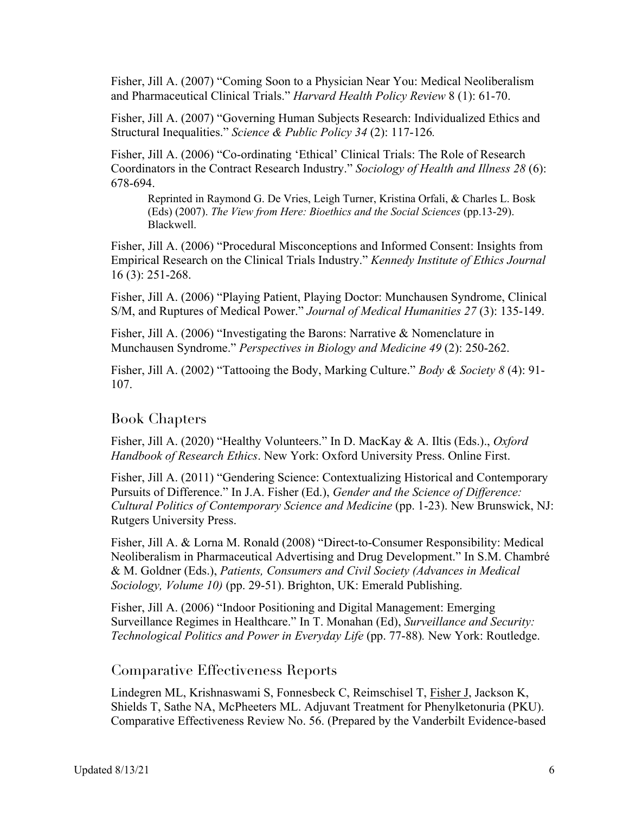Fisher, Jill A. (2007) "Coming Soon to a Physician Near You: Medical Neoliberalism and Pharmaceutical Clinical Trials." *Harvard Health Policy Review* 8 (1): 61-70.

Fisher, Jill A. (2007) "Governing Human Subjects Research: Individualized Ethics and Structural Inequalities." *Science & Public Policy 34* (2): 117-126*.*

Fisher, Jill A. (2006) "Co-ordinating 'Ethical' Clinical Trials: The Role of Research Coordinators in the Contract Research Industry." *Sociology of Health and Illness 28* (6): 678-694.

Reprinted in Raymond G. De Vries, Leigh Turner, Kristina Orfali, & Charles L. Bosk (Eds) (2007). *The View from Here: Bioethics and the Social Sciences* (pp.13-29). Blackwell.

Fisher, Jill A. (2006) "Procedural Misconceptions and Informed Consent: Insights from Empirical Research on the Clinical Trials Industry." *Kennedy Institute of Ethics Journal* 16 (3): 251-268.

Fisher, Jill A. (2006) "Playing Patient, Playing Doctor: Munchausen Syndrome, Clinical S/M, and Ruptures of Medical Power." *Journal of Medical Humanities 27* (3): 135-149.

Fisher, Jill A. (2006) "Investigating the Barons: Narrative & Nomenclature in Munchausen Syndrome." *Perspectives in Biology and Medicine 49* (2): 250-262.

Fisher, Jill A. (2002) "Tattooing the Body, Marking Culture." *Body & Society 8* (4): 91- 107.

### Book Chapters

Fisher, Jill A. (2020) "Healthy Volunteers." In D. MacKay & A. Iltis (Eds.)., *Oxford Handbook of Research Ethics*. New York: Oxford University Press. Online First.

Fisher, Jill A. (2011) "Gendering Science: Contextualizing Historical and Contemporary Pursuits of Difference." In J.A. Fisher (Ed.), *Gender and the Science of Difference: Cultural Politics of Contemporary Science and Medicine* (pp. 1-23). New Brunswick, NJ: Rutgers University Press.

Fisher, Jill A. & Lorna M. Ronald (2008) "Direct-to-Consumer Responsibility: Medical Neoliberalism in Pharmaceutical Advertising and Drug Development." In S.M. Chambré & M. Goldner (Eds.), *Patients, Consumers and Civil Society (Advances in Medical Sociology, Volume 10)* (pp. 29-51). Brighton, UK: Emerald Publishing.

Fisher, Jill A. (2006) "Indoor Positioning and Digital Management: Emerging Surveillance Regimes in Healthcare." In T. Monahan (Ed), *Surveillance and Security: Technological Politics and Power in Everyday Life* (pp. 77-88). New York: Routledge.

#### Comparative Effectiveness Reports

Lindegren ML, Krishnaswami S, Fonnesbeck C, Reimschisel T, Fisher J, Jackson K, Shields T, Sathe NA, McPheeters ML. Adjuvant Treatment for Phenylketonuria (PKU). Comparative Effectiveness Review No. 56. (Prepared by the Vanderbilt Evidence-based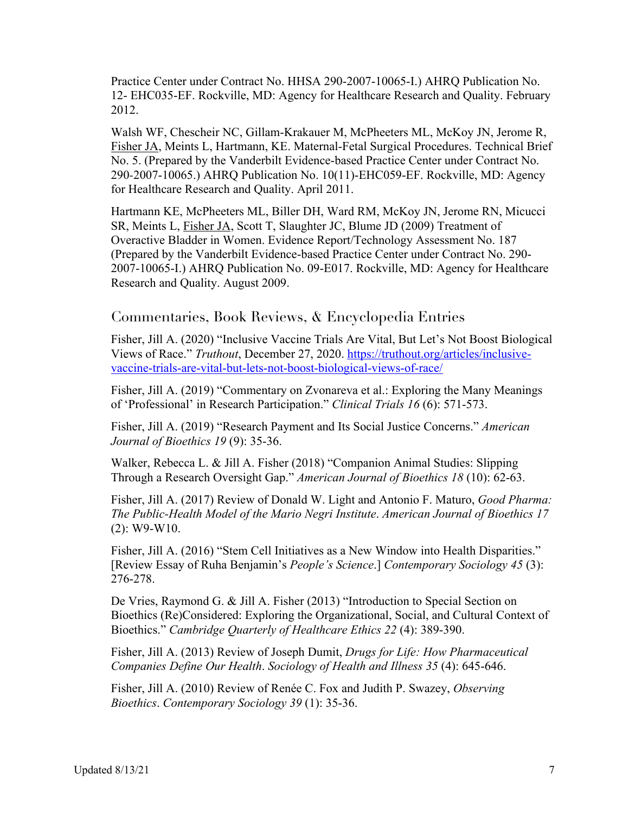Practice Center under Contract No. HHSA 290-2007-10065-I.) AHRQ Publication No. 12- EHC035-EF. Rockville, MD: Agency for Healthcare Research and Quality. February 2012.

Walsh WF, Chescheir NC, Gillam-Krakauer M, McPheeters ML, McKoy JN, Jerome R, Fisher JA, Meints L, Hartmann, KE. Maternal-Fetal Surgical Procedures. Technical Brief No. 5. (Prepared by the Vanderbilt Evidence-based Practice Center under Contract No. 290-2007-10065.) AHRQ Publication No. 10(11)-EHC059-EF. Rockville, MD: Agency for Healthcare Research and Quality. April 2011.

Hartmann KE, McPheeters ML, Biller DH, Ward RM, McKoy JN, Jerome RN, Micucci SR, Meints L, Fisher JA, Scott T, Slaughter JC, Blume JD (2009) Treatment of Overactive Bladder in Women. Evidence Report/Technology Assessment No. 187 (Prepared by the Vanderbilt Evidence-based Practice Center under Contract No. 290- 2007-10065-I.) AHRQ Publication No. 09-E017. Rockville, MD: Agency for Healthcare Research and Quality. August 2009.

#### Commentaries, Book Reviews, & Encyclopedia Entries

Fisher, Jill A. (2020) "Inclusive Vaccine Trials Are Vital, But Let's Not Boost Biological Views of Race." *Truthout*, December 27, 2020. https://truthout.org/articles/inclusivevaccine-trials-are-vital-but-lets-not-boost-biological-views-of-race/

Fisher, Jill A. (2019) "Commentary on Zvonareva et al.: Exploring the Many Meanings of 'Professional' in Research Participation." *Clinical Trials 16* (6): 571-573.

Fisher, Jill A. (2019) "Research Payment and Its Social Justice Concerns." *American Journal of Bioethics 19* (9): 35-36.

Walker, Rebecca L. & Jill A. Fisher (2018) "Companion Animal Studies: Slipping Through a Research Oversight Gap." *American Journal of Bioethics 18* (10): 62-63.

Fisher, Jill A. (2017) Review of Donald W. Light and Antonio F. Maturo, *Good Pharma: The Public-Health Model of the Mario Negri Institute*. *American Journal of Bioethics 17*  (2): W9-W10.

Fisher, Jill A. (2016) "Stem Cell Initiatives as a New Window into Health Disparities." [Review Essay of Ruha Benjamin's *People's Science*.] *Contemporary Sociology 45* (3): 276-278.

De Vries, Raymond G. & Jill A. Fisher (2013) "Introduction to Special Section on Bioethics (Re)Considered: Exploring the Organizational, Social, and Cultural Context of Bioethics." *Cambridge Quarterly of Healthcare Ethics 22* (4): 389-390.

Fisher, Jill A. (2013) Review of Joseph Dumit, *Drugs for Life: How Pharmaceutical Companies Define Our Health*. *Sociology of Health and Illness 35* (4): 645-646.

Fisher, Jill A. (2010) Review of Renée C. Fox and Judith P. Swazey, *Observing Bioethics*. *Contemporary Sociology 39* (1): 35-36.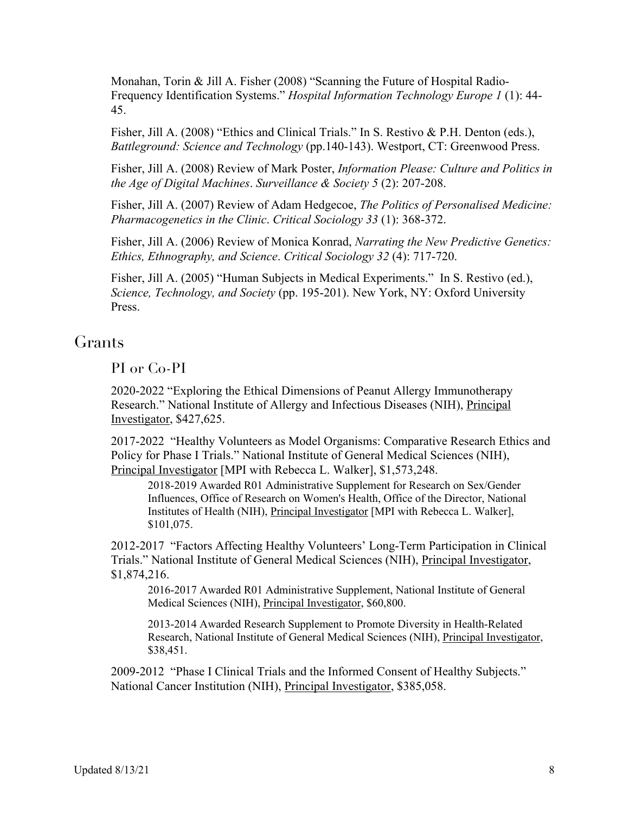Monahan, Torin & Jill A. Fisher (2008) "Scanning the Future of Hospital Radio-Frequency Identification Systems." *Hospital Information Technology Europe 1* (1): 44- 45.

Fisher, Jill A. (2008) "Ethics and Clinical Trials." In S. Restivo & P.H. Denton (eds.), *Battleground: Science and Technology* (pp.140-143). Westport, CT: Greenwood Press.

Fisher, Jill A. (2008) Review of Mark Poster, *Information Please: Culture and Politics in the Age of Digital Machines*. *Surveillance & Society 5* (2): 207-208.

Fisher, Jill A. (2007) Review of Adam Hedgecoe, *The Politics of Personalised Medicine: Pharmacogenetics in the Clinic*. *Critical Sociology 33* (1): 368-372.

Fisher, Jill A. (2006) Review of Monica Konrad, *Narrating the New Predictive Genetics: Ethics, Ethnography, and Science*. *Critical Sociology 32* (4): 717-720.

Fisher, Jill A. (2005) "Human Subjects in Medical Experiments." In S. Restivo (ed.), *Science, Technology, and Society* (pp. 195-201). New York, NY: Oxford University Press.

## Grants

PI or Co-PI

2020-2022 "Exploring the Ethical Dimensions of Peanut Allergy Immunotherapy Research." National Institute of Allergy and Infectious Diseases (NIH), Principal Investigator, \$427,625.

2017-2022 "Healthy Volunteers as Model Organisms: Comparative Research Ethics and Policy for Phase I Trials." National Institute of General Medical Sciences (NIH), Principal Investigator [MPI with Rebecca L. Walker], \$1,573,248.

2018-2019 Awarded R01 Administrative Supplement for Research on Sex/Gender Influences, Office of Research on Women's Health, Office of the Director, National Institutes of Health (NIH), Principal Investigator [MPI with Rebecca L. Walker], \$101,075.

2012-2017 "Factors Affecting Healthy Volunteers' Long-Term Participation in Clinical Trials." National Institute of General Medical Sciences (NIH), Principal Investigator, \$1,874,216.

2016-2017 Awarded R01 Administrative Supplement, National Institute of General Medical Sciences (NIH), Principal Investigator, \$60,800.

2013-2014 Awarded Research Supplement to Promote Diversity in Health-Related Research, National Institute of General Medical Sciences (NIH), Principal Investigator, \$38,451.

2009-2012 "Phase I Clinical Trials and the Informed Consent of Healthy Subjects." National Cancer Institution (NIH), Principal Investigator, \$385,058.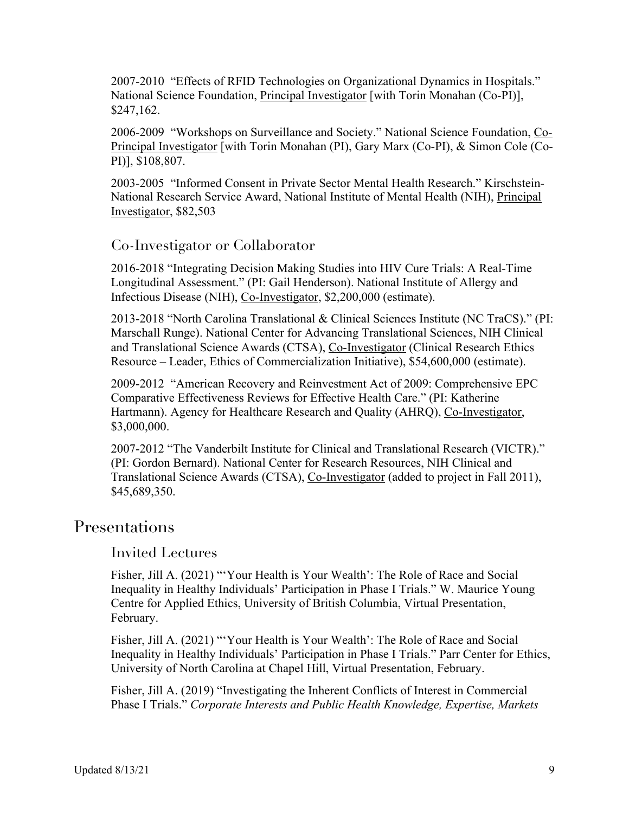2007-2010 "Effects of RFID Technologies on Organizational Dynamics in Hospitals." National Science Foundation, *Principal Investigator* [with Torin Monahan (Co-PI)], \$247,162.

2006-2009 "Workshops on Surveillance and Society." National Science Foundation, Co-Principal Investigator [with Torin Monahan (PI), Gary Marx (Co-PI), & Simon Cole (Co-PI)], \$108,807.

2003-2005 "Informed Consent in Private Sector Mental Health Research." Kirschstein-National Research Service Award, National Institute of Mental Health (NIH), Principal Investigator, \$82,503

### Co-Investigator or Collaborator

2016-2018 "Integrating Decision Making Studies into HIV Cure Trials: A Real-Time Longitudinal Assessment." (PI: Gail Henderson). National Institute of Allergy and Infectious Disease (NIH), Co-Investigator, \$2,200,000 (estimate).

2013-2018 "North Carolina Translational & Clinical Sciences Institute (NC TraCS)." (PI: Marschall Runge). National Center for Advancing Translational Sciences, NIH Clinical and Translational Science Awards (CTSA), Co-Investigator (Clinical Research Ethics Resource – Leader, Ethics of Commercialization Initiative), \$54,600,000 (estimate).

2009-2012 "American Recovery and Reinvestment Act of 2009: Comprehensive EPC Comparative Effectiveness Reviews for Effective Health Care." (PI: Katherine Hartmann). Agency for Healthcare Research and Quality (AHRQ), Co-Investigator, \$3,000,000.

2007-2012 "The Vanderbilt Institute for Clinical and Translational Research (VICTR)." (PI: Gordon Bernard). National Center for Research Resources, NIH Clinical and Translational Science Awards (CTSA), Co-Investigator (added to project in Fall 2011), \$45,689,350.

## **Presentations**

### Invited Lectures

Fisher, Jill A. (2021) "'Your Health is Your Wealth': The Role of Race and Social Inequality in Healthy Individuals' Participation in Phase I Trials." W. Maurice Young Centre for Applied Ethics, University of British Columbia, Virtual Presentation, February.

Fisher, Jill A. (2021) "'Your Health is Your Wealth': The Role of Race and Social Inequality in Healthy Individuals' Participation in Phase I Trials." Parr Center for Ethics, University of North Carolina at Chapel Hill, Virtual Presentation, February.

Fisher, Jill A. (2019) "Investigating the Inherent Conflicts of Interest in Commercial Phase I Trials." *Corporate Interests and Public Health Knowledge, Expertise, Markets*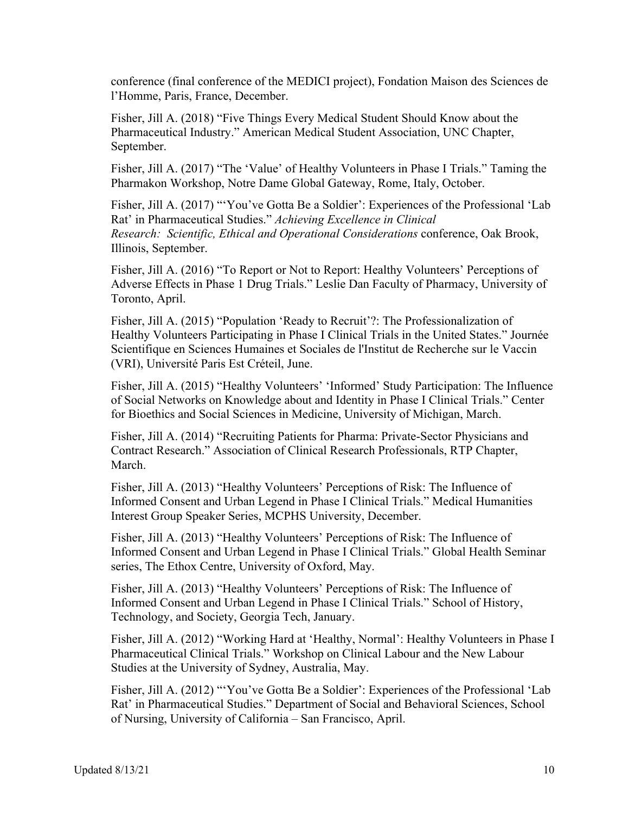conference (final conference of the MEDICI project), Fondation Maison des Sciences de l'Homme, Paris, France, December.

Fisher, Jill A. (2018) "Five Things Every Medical Student Should Know about the Pharmaceutical Industry." American Medical Student Association, UNC Chapter, September.

Fisher, Jill A. (2017) "The 'Value' of Healthy Volunteers in Phase I Trials." Taming the Pharmakon Workshop, Notre Dame Global Gateway, Rome, Italy, October.

Fisher, Jill A. (2017) "'You've Gotta Be a Soldier': Experiences of the Professional 'Lab Rat' in Pharmaceutical Studies." *Achieving Excellence in Clinical Research: Scientific, Ethical and Operational Considerations* conference, Oak Brook, Illinois, September.

Fisher, Jill A. (2016) "To Report or Not to Report: Healthy Volunteers' Perceptions of Adverse Effects in Phase 1 Drug Trials." Leslie Dan Faculty of Pharmacy, University of Toronto, April.

Fisher, Jill A. (2015) "Population 'Ready to Recruit'?: The Professionalization of Healthy Volunteers Participating in Phase I Clinical Trials in the United States." Journée Scientifique en Sciences Humaines et Sociales de l'Institut de Recherche sur le Vaccin (VRI), Université Paris Est Créteil, June.

Fisher, Jill A. (2015) "Healthy Volunteers' 'Informed' Study Participation: The Influence of Social Networks on Knowledge about and Identity in Phase I Clinical Trials." Center for Bioethics and Social Sciences in Medicine, University of Michigan, March.

Fisher, Jill A. (2014) "Recruiting Patients for Pharma: Private-Sector Physicians and Contract Research." Association of Clinical Research Professionals, RTP Chapter, March.

Fisher, Jill A. (2013) "Healthy Volunteers' Perceptions of Risk: The Influence of Informed Consent and Urban Legend in Phase I Clinical Trials." Medical Humanities Interest Group Speaker Series, MCPHS University, December.

Fisher, Jill A. (2013) "Healthy Volunteers' Perceptions of Risk: The Influence of Informed Consent and Urban Legend in Phase I Clinical Trials." Global Health Seminar series, The Ethox Centre, University of Oxford, May.

Fisher, Jill A. (2013) "Healthy Volunteers' Perceptions of Risk: The Influence of Informed Consent and Urban Legend in Phase I Clinical Trials." School of History, Technology, and Society, Georgia Tech, January.

Fisher, Jill A. (2012) "Working Hard at 'Healthy, Normal': Healthy Volunteers in Phase I Pharmaceutical Clinical Trials." Workshop on Clinical Labour and the New Labour Studies at the University of Sydney, Australia, May.

Fisher, Jill A. (2012) "'You've Gotta Be a Soldier': Experiences of the Professional 'Lab Rat' in Pharmaceutical Studies." Department of Social and Behavioral Sciences, School of Nursing, University of California – San Francisco, April.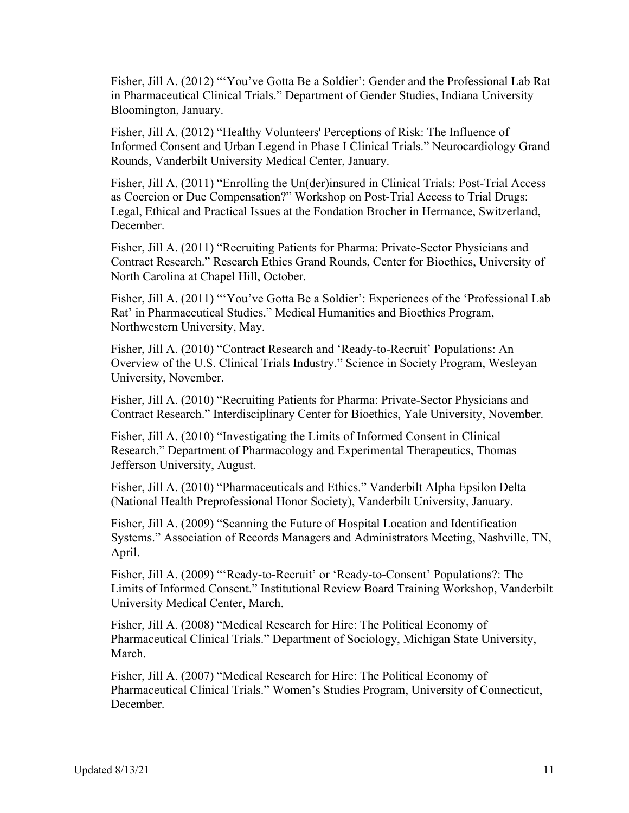Fisher, Jill A. (2012) "'You've Gotta Be a Soldier': Gender and the Professional Lab Rat in Pharmaceutical Clinical Trials." Department of Gender Studies, Indiana University Bloomington, January.

Fisher, Jill A. (2012) "Healthy Volunteers' Perceptions of Risk: The Influence of Informed Consent and Urban Legend in Phase I Clinical Trials." Neurocardiology Grand Rounds, Vanderbilt University Medical Center, January.

Fisher, Jill A. (2011) "Enrolling the Un(der)insured in Clinical Trials: Post-Trial Access as Coercion or Due Compensation?" Workshop on Post-Trial Access to Trial Drugs: Legal, Ethical and Practical Issues at the Fondation Brocher in Hermance, Switzerland, December.

Fisher, Jill A. (2011) "Recruiting Patients for Pharma: Private-Sector Physicians and Contract Research." Research Ethics Grand Rounds, Center for Bioethics, University of North Carolina at Chapel Hill, October.

Fisher, Jill A. (2011) "'You've Gotta Be a Soldier': Experiences of the 'Professional Lab Rat' in Pharmaceutical Studies." Medical Humanities and Bioethics Program, Northwestern University, May.

Fisher, Jill A. (2010) "Contract Research and 'Ready-to-Recruit' Populations: An Overview of the U.S. Clinical Trials Industry." Science in Society Program, Wesleyan University, November.

Fisher, Jill A. (2010) "Recruiting Patients for Pharma: Private-Sector Physicians and Contract Research." Interdisciplinary Center for Bioethics, Yale University, November.

Fisher, Jill A. (2010) "Investigating the Limits of Informed Consent in Clinical Research." Department of Pharmacology and Experimental Therapeutics, Thomas Jefferson University, August.

Fisher, Jill A. (2010) "Pharmaceuticals and Ethics." Vanderbilt Alpha Epsilon Delta (National Health Preprofessional Honor Society), Vanderbilt University, January.

Fisher, Jill A. (2009) "Scanning the Future of Hospital Location and Identification Systems." Association of Records Managers and Administrators Meeting, Nashville, TN, April.

Fisher, Jill A. (2009) "'Ready-to-Recruit' or 'Ready-to-Consent' Populations?: The Limits of Informed Consent." Institutional Review Board Training Workshop, Vanderbilt University Medical Center, March.

Fisher, Jill A. (2008) "Medical Research for Hire: The Political Economy of Pharmaceutical Clinical Trials." Department of Sociology, Michigan State University, March.

Fisher, Jill A. (2007) "Medical Research for Hire: The Political Economy of Pharmaceutical Clinical Trials." Women's Studies Program, University of Connecticut, December.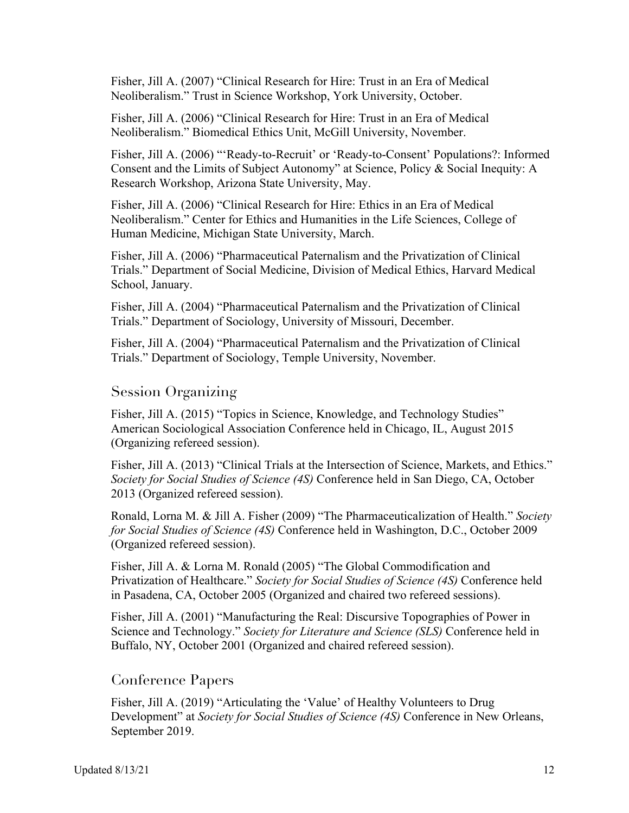Fisher, Jill A. (2007) "Clinical Research for Hire: Trust in an Era of Medical Neoliberalism." Trust in Science Workshop, York University, October.

Fisher, Jill A. (2006) "Clinical Research for Hire: Trust in an Era of Medical Neoliberalism." Biomedical Ethics Unit, McGill University, November.

Fisher, Jill A. (2006) "'Ready-to-Recruit' or 'Ready-to-Consent' Populations?: Informed Consent and the Limits of Subject Autonomy" at Science, Policy & Social Inequity: A Research Workshop, Arizona State University, May.

Fisher, Jill A. (2006) "Clinical Research for Hire: Ethics in an Era of Medical Neoliberalism." Center for Ethics and Humanities in the Life Sciences, College of Human Medicine, Michigan State University, March.

Fisher, Jill A. (2006) "Pharmaceutical Paternalism and the Privatization of Clinical Trials." Department of Social Medicine, Division of Medical Ethics, Harvard Medical School, January.

Fisher, Jill A. (2004) "Pharmaceutical Paternalism and the Privatization of Clinical Trials." Department of Sociology, University of Missouri, December.

Fisher, Jill A. (2004) "Pharmaceutical Paternalism and the Privatization of Clinical Trials." Department of Sociology, Temple University, November.

## Session Organizing

Fisher, Jill A. (2015) "Topics in Science, Knowledge, and Technology Studies" American Sociological Association Conference held in Chicago, IL, August 2015 (Organizing refereed session).

Fisher, Jill A. (2013) "Clinical Trials at the Intersection of Science, Markets, and Ethics." *Society for Social Studies of Science (4S)* Conference held in San Diego, CA, October 2013 (Organized refereed session).

Ronald, Lorna M. & Jill A. Fisher (2009) "The Pharmaceuticalization of Health." *Society for Social Studies of Science (4S)* Conference held in Washington, D.C., October 2009 (Organized refereed session).

Fisher, Jill A. & Lorna M. Ronald (2005) "The Global Commodification and Privatization of Healthcare." *Society for Social Studies of Science (4S)* Conference held in Pasadena, CA, October 2005 (Organized and chaired two refereed sessions).

Fisher, Jill A. (2001) "Manufacturing the Real: Discursive Topographies of Power in Science and Technology." *Society for Literature and Science (SLS)* Conference held in Buffalo, NY, October 2001 (Organized and chaired refereed session).

#### Conference Papers

Fisher, Jill A. (2019) "Articulating the 'Value' of Healthy Volunteers to Drug Development" at *Society for Social Studies of Science (4S)* Conference in New Orleans, September 2019.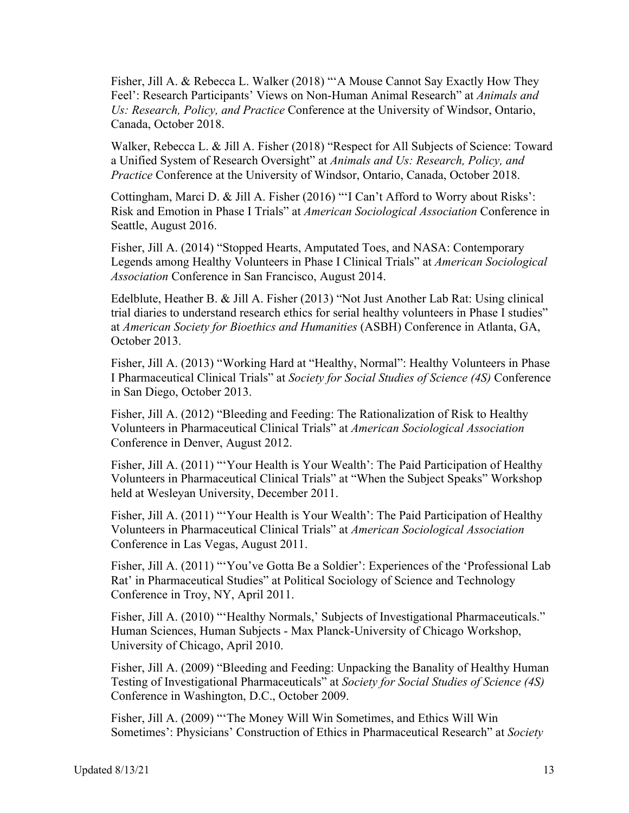Fisher, Jill A. & Rebecca L. Walker (2018) "'A Mouse Cannot Say Exactly How They Feel': Research Participants' Views on Non-Human Animal Research" at *Animals and Us: Research, Policy, and Practice* Conference at the University of Windsor, Ontario, Canada, October 2018.

Walker, Rebecca L. & Jill A. Fisher (2018) "Respect for All Subjects of Science: Toward a Unified System of Research Oversight" at *Animals and Us: Research, Policy, and Practice* Conference at the University of Windsor, Ontario, Canada, October 2018.

Cottingham, Marci D. & Jill A. Fisher (2016) "'I Can't Afford to Worry about Risks': Risk and Emotion in Phase I Trials" at *American Sociological Association* Conference in Seattle, August 2016.

Fisher, Jill A. (2014) "Stopped Hearts, Amputated Toes, and NASA: Contemporary Legends among Healthy Volunteers in Phase I Clinical Trials" at *American Sociological Association* Conference in San Francisco, August 2014.

Edelblute, Heather B. & Jill A. Fisher (2013) "Not Just Another Lab Rat: Using clinical trial diaries to understand research ethics for serial healthy volunteers in Phase I studies" at *American Society for Bioethics and Humanities* (ASBH) Conference in Atlanta, GA, October 2013.

Fisher, Jill A. (2013) "Working Hard at "Healthy, Normal": Healthy Volunteers in Phase I Pharmaceutical Clinical Trials" at *Society for Social Studies of Science (4S)* Conference in San Diego, October 2013.

Fisher, Jill A. (2012) "Bleeding and Feeding: The Rationalization of Risk to Healthy Volunteers in Pharmaceutical Clinical Trials" at *American Sociological Association* Conference in Denver, August 2012.

Fisher, Jill A. (2011) "'Your Health is Your Wealth': The Paid Participation of Healthy Volunteers in Pharmaceutical Clinical Trials" at "When the Subject Speaks" Workshop held at Wesleyan University, December 2011.

Fisher, Jill A. (2011) "'Your Health is Your Wealth': The Paid Participation of Healthy Volunteers in Pharmaceutical Clinical Trials" at *American Sociological Association* Conference in Las Vegas, August 2011.

Fisher, Jill A. (2011) "'You've Gotta Be a Soldier': Experiences of the 'Professional Lab Rat' in Pharmaceutical Studies" at Political Sociology of Science and Technology Conference in Troy, NY, April 2011.

Fisher, Jill A. (2010) "'Healthy Normals,' Subjects of Investigational Pharmaceuticals." Human Sciences, Human Subjects - Max Planck-University of Chicago Workshop, University of Chicago, April 2010.

Fisher, Jill A. (2009) "Bleeding and Feeding: Unpacking the Banality of Healthy Human Testing of Investigational Pharmaceuticals" at *Society for Social Studies of Science (4S)* Conference in Washington, D.C., October 2009.

Fisher, Jill A. (2009) "'The Money Will Win Sometimes, and Ethics Will Win Sometimes': Physicians' Construction of Ethics in Pharmaceutical Research" at *Society*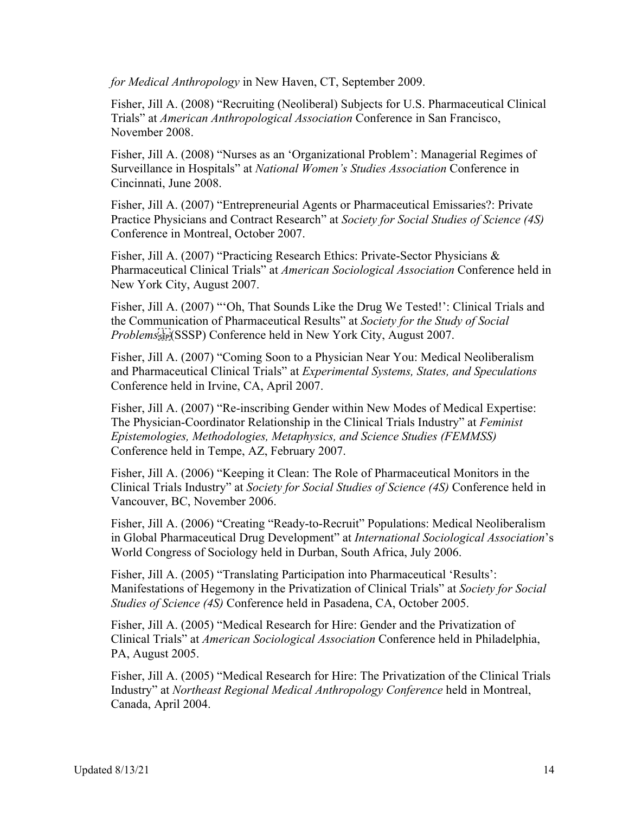*for Medical Anthropology* in New Haven, CT, September 2009.

Fisher, Jill A. (2008) "Recruiting (Neoliberal) Subjects for U.S. Pharmaceutical Clinical Trials" at *American Anthropological Association* Conference in San Francisco, November 2008.

Fisher, Jill A. (2008) "Nurses as an 'Organizational Problem': Managerial Regimes of Surveillance in Hospitals" at *National Women's Studies Association* Conference in Cincinnati, June 2008.

Fisher, Jill A. (2007) "Entrepreneurial Agents or Pharmaceutical Emissaries?: Private Practice Physicians and Contract Research" at *Society for Social Studies of Science (4S)* Conference in Montreal, October 2007.

Fisher, Jill A. (2007) "Practicing Research Ethics: Private-Sector Physicians & Pharmaceutical Clinical Trials" at *American Sociological Association* Conference held in New York City, August 2007.

Fisher, Jill A. (2007) "'Oh, That Sounds Like the Drug We Tested!': Clinical Trials and the Communication of Pharmaceutical Results" at *Society for the Study of Social Problems*(SSSP) Conference held in New York City, August 2007.

Fisher, Jill A. (2007) "Coming Soon to a Physician Near You: Medical Neoliberalism and Pharmaceutical Clinical Trials" at *Experimental Systems, States, and Speculations* Conference held in Irvine, CA, April 2007.

Fisher, Jill A. (2007) "Re-inscribing Gender within New Modes of Medical Expertise: The Physician-Coordinator Relationship in the Clinical Trials Industry" at *Feminist Epistemologies, Methodologies, Metaphysics, and Science Studies (FEMMSS)* Conference held in Tempe, AZ, February 2007.

Fisher, Jill A. (2006) "Keeping it Clean: The Role of Pharmaceutical Monitors in the Clinical Trials Industry" at *Society for Social Studies of Science (4S)* Conference held in Vancouver, BC, November 2006.

Fisher, Jill A. (2006) "Creating "Ready-to-Recruit" Populations: Medical Neoliberalism in Global Pharmaceutical Drug Development" at *International Sociological Association*'s World Congress of Sociology held in Durban, South Africa, July 2006.

Fisher, Jill A. (2005) "Translating Participation into Pharmaceutical 'Results': Manifestations of Hegemony in the Privatization of Clinical Trials" at *Society for Social Studies of Science (4S)* Conference held in Pasadena, CA, October 2005.

Fisher, Jill A. (2005) "Medical Research for Hire: Gender and the Privatization of Clinical Trials" at *American Sociological Association* Conference held in Philadelphia, PA, August 2005.

Fisher, Jill A. (2005) "Medical Research for Hire: The Privatization of the Clinical Trials Industry" at *Northeast Regional Medical Anthropology Conference* held in Montreal, Canada, April 2004.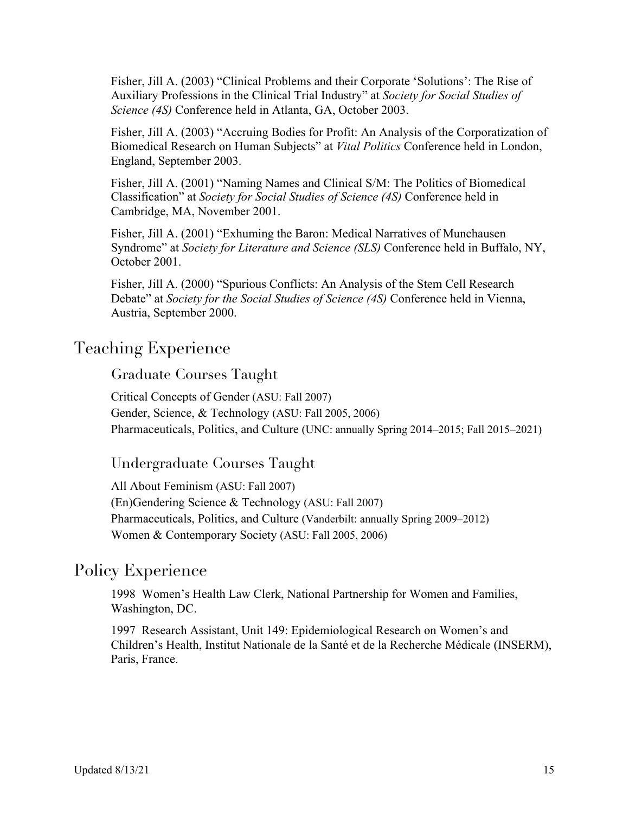Fisher, Jill A. (2003) "Clinical Problems and their Corporate 'Solutions': The Rise of Auxiliary Professions in the Clinical Trial Industry" at *Society for Social Studies of Science (4S)* Conference held in Atlanta, GA, October 2003.

Fisher, Jill A. (2003) "Accruing Bodies for Profit: An Analysis of the Corporatization of Biomedical Research on Human Subjects" at *Vital Politics* Conference held in London, England, September 2003.

Fisher, Jill A. (2001) "Naming Names and Clinical S/M: The Politics of Biomedical Classification" at *Society for Social Studies of Science (4S)* Conference held in Cambridge, MA, November 2001.

Fisher, Jill A. (2001) "Exhuming the Baron: Medical Narratives of Munchausen Syndrome" at *Society for Literature and Science (SLS)* Conference held in Buffalo, NY, October 2001.

Fisher, Jill A. (2000) "Spurious Conflicts: An Analysis of the Stem Cell Research Debate" at *Society for the Social Studies of Science (4S)* Conference held in Vienna, Austria, September 2000.

## Teaching Experience

Graduate Courses Taught

Critical Concepts of Gender (ASU: Fall 2007) Gender, Science, & Technology (ASU: Fall 2005, 2006) Pharmaceuticals, Politics, and Culture (UNC: annually Spring 2014–2015; Fall 2015–2021)

### Undergraduate Courses Taught

All About Feminism (ASU: Fall 2007) (En)Gendering Science & Technology (ASU: Fall 2007) Pharmaceuticals, Politics, and Culture (Vanderbilt: annually Spring 2009–2012) Women & Contemporary Society (ASU: Fall 2005, 2006)

## Policy Experience

1998 Women's Health Law Clerk, National Partnership for Women and Families, Washington, DC.

1997 Research Assistant, Unit 149: Epidemiological Research on Women's and Children's Health, Institut Nationale de la Santé et de la Recherche Médicale (INSERM), Paris, France.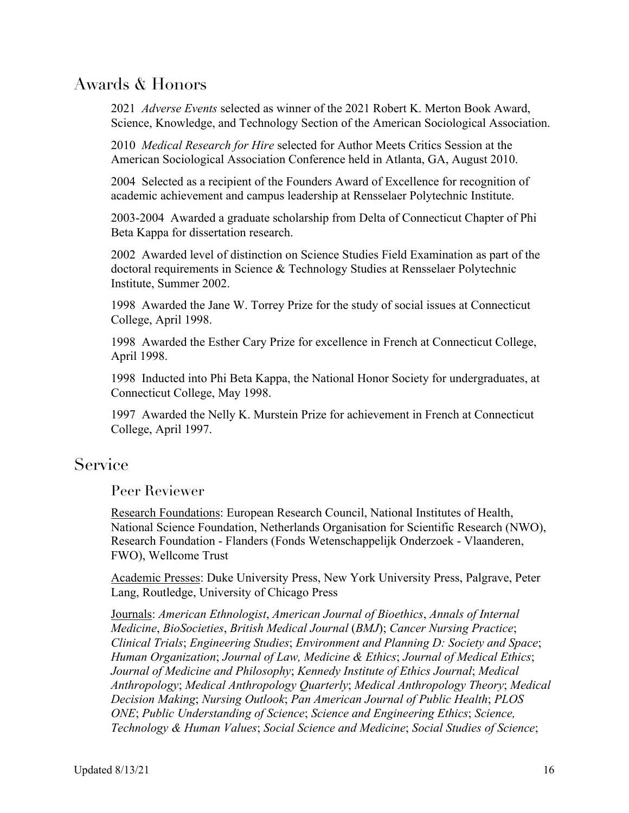## Awards & Honors

2021 *Adverse Events* selected as winner of the 2021 Robert K. Merton Book Award, Science, Knowledge, and Technology Section of the American Sociological Association.

2010 *Medical Research for Hire* selected for Author Meets Critics Session at the American Sociological Association Conference held in Atlanta, GA, August 2010.

2004 Selected as a recipient of the Founders Award of Excellence for recognition of academic achievement and campus leadership at Rensselaer Polytechnic Institute.

2003-2004 Awarded a graduate scholarship from Delta of Connecticut Chapter of Phi Beta Kappa for dissertation research.

2002 Awarded level of distinction on Science Studies Field Examination as part of the doctoral requirements in Science & Technology Studies at Rensselaer Polytechnic Institute, Summer 2002.

1998 Awarded the Jane W. Torrey Prize for the study of social issues at Connecticut College, April 1998.

1998 Awarded the Esther Cary Prize for excellence in French at Connecticut College, April 1998.

1998 Inducted into Phi Beta Kappa, the National Honor Society for undergraduates, at Connecticut College, May 1998.

1997 Awarded the Nelly K. Murstein Prize for achievement in French at Connecticut College, April 1997.

## Service

Peer Reviewer

Research Foundations: European Research Council, National Institutes of Health, National Science Foundation, Netherlands Organisation for Scientific Research (NWO), Research Foundation - Flanders (Fonds Wetenschappelijk Onderzoek - Vlaanderen, FWO), Wellcome Trust

Academic Presses: Duke University Press, New York University Press, Palgrave, Peter Lang, Routledge, University of Chicago Press

Journals: *American Ethnologist*, *American Journal of Bioethics*, *Annals of Internal Medicine*, *BioSocieties*, *British Medical Journal* (*BMJ*); *Cancer Nursing Practice*; *Clinical Trials*; *Engineering Studies*; *Environment and Planning D: Society and Space*; *Human Organization*; *Journal of Law, Medicine & Ethics*; *Journal of Medical Ethics*; *Journal of Medicine and Philosophy*; *Kennedy Institute of Ethics Journal*; *Medical Anthropology*; *Medical Anthropology Quarterly*; *Medical Anthropology Theory*; *Medical Decision Making*; *Nursing Outlook*; *Pan American Journal of Public Health*; *PLOS ONE*; *Public Understanding of Science*; *Science and Engineering Ethics*; *Science, Technology & Human Values*; *Social Science and Medicine*; *Social Studies of Science*;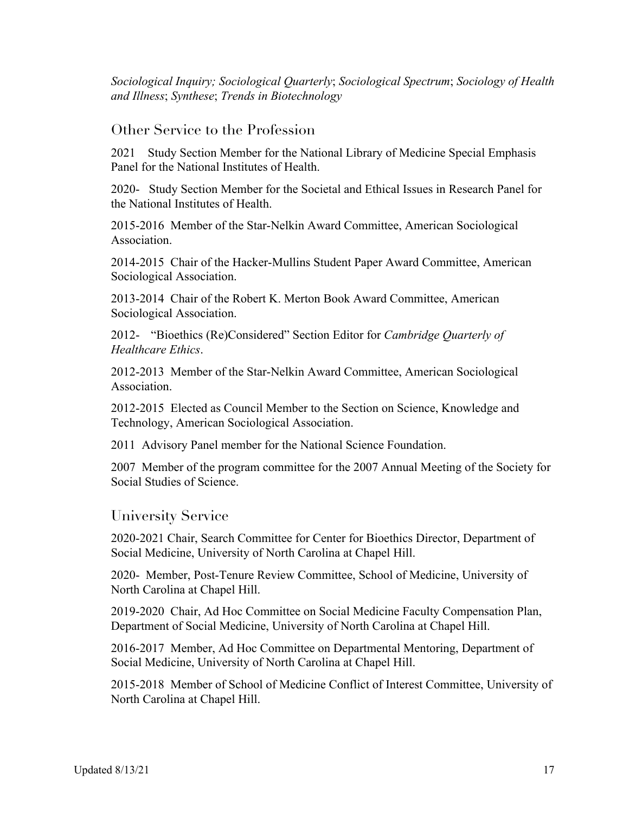*Sociological Inquiry; Sociological Quarterly*; *Sociological Spectrum*; *Sociology of Health and Illness*; *Synthese*; *Trends in Biotechnology*

#### Other Service to the Profession

2021 Study Section Member for the National Library of Medicine Special Emphasis Panel for the National Institutes of Health.

2020- Study Section Member for the Societal and Ethical Issues in Research Panel for the National Institutes of Health.

2015-2016 Member of the Star-Nelkin Award Committee, American Sociological Association.

2014-2015 Chair of the Hacker-Mullins Student Paper Award Committee, American Sociological Association.

2013-2014 Chair of the Robert K. Merton Book Award Committee, American Sociological Association.

2012- "Bioethics (Re)Considered" Section Editor for *Cambridge Quarterly of Healthcare Ethics*.

2012-2013 Member of the Star-Nelkin Award Committee, American Sociological Association.

2012-2015 Elected as Council Member to the Section on Science, Knowledge and Technology, American Sociological Association.

2011 Advisory Panel member for the National Science Foundation.

2007 Member of the program committee for the 2007 Annual Meeting of the Society for Social Studies of Science.

### University Service

2020-2021 Chair, Search Committee for Center for Bioethics Director, Department of Social Medicine, University of North Carolina at Chapel Hill.

2020- Member, Post-Tenure Review Committee, School of Medicine, University of North Carolina at Chapel Hill.

2019-2020 Chair, Ad Hoc Committee on Social Medicine Faculty Compensation Plan, Department of Social Medicine, University of North Carolina at Chapel Hill.

2016-2017 Member, Ad Hoc Committee on Departmental Mentoring, Department of Social Medicine, University of North Carolina at Chapel Hill.

2015-2018 Member of School of Medicine Conflict of Interest Committee, University of North Carolina at Chapel Hill.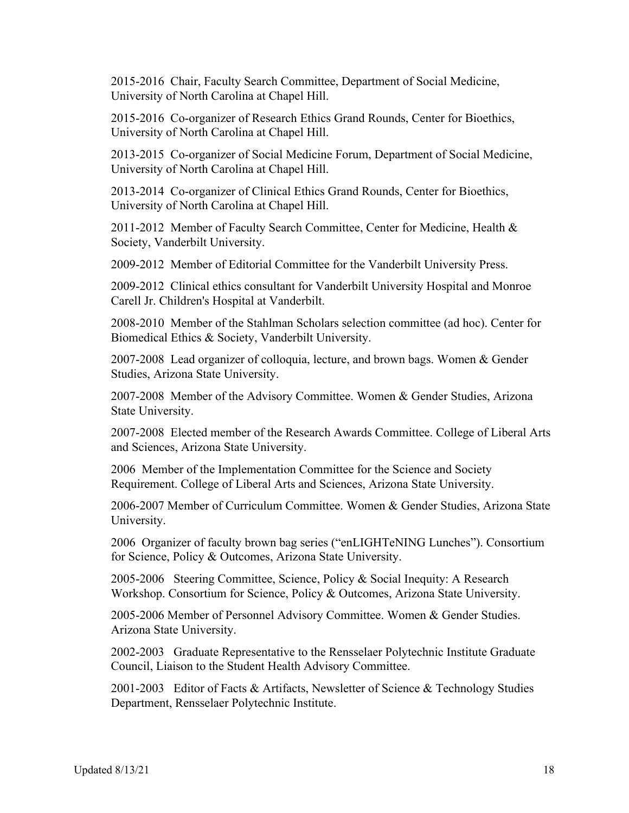2015-2016 Chair, Faculty Search Committee, Department of Social Medicine, University of North Carolina at Chapel Hill.

2015-2016 Co-organizer of Research Ethics Grand Rounds, Center for Bioethics, University of North Carolina at Chapel Hill.

2013-2015 Co-organizer of Social Medicine Forum, Department of Social Medicine, University of North Carolina at Chapel Hill.

2013-2014 Co-organizer of Clinical Ethics Grand Rounds, Center for Bioethics, University of North Carolina at Chapel Hill.

2011-2012 Member of Faculty Search Committee, Center for Medicine, Health & Society, Vanderbilt University.

2009-2012 Member of Editorial Committee for the Vanderbilt University Press.

2009-2012 Clinical ethics consultant for Vanderbilt University Hospital and Monroe Carell Jr. Children's Hospital at Vanderbilt.

2008-2010 Member of the Stahlman Scholars selection committee (ad hoc). Center for Biomedical Ethics & Society, Vanderbilt University.

2007-2008 Lead organizer of colloquia, lecture, and brown bags. Women & Gender Studies, Arizona State University.

2007-2008 Member of the Advisory Committee. Women & Gender Studies, Arizona State University.

2007-2008 Elected member of the Research Awards Committee. College of Liberal Arts and Sciences, Arizona State University.

2006 Member of the Implementation Committee for the Science and Society Requirement. College of Liberal Arts and Sciences, Arizona State University.

2006-2007 Member of Curriculum Committee. Women & Gender Studies, Arizona State University.

2006 Organizer of faculty brown bag series ("enLIGHTeNING Lunches"). Consortium for Science, Policy & Outcomes, Arizona State University.

2005-2006 Steering Committee, Science, Policy & Social Inequity: A Research Workshop. Consortium for Science, Policy & Outcomes, Arizona State University.

2005-2006 Member of Personnel Advisory Committee. Women & Gender Studies. Arizona State University.

2002-2003 Graduate Representative to the Rensselaer Polytechnic Institute Graduate Council, Liaison to the Student Health Advisory Committee.

2001-2003 Editor of Facts & Artifacts, Newsletter of Science & Technology Studies Department, Rensselaer Polytechnic Institute.